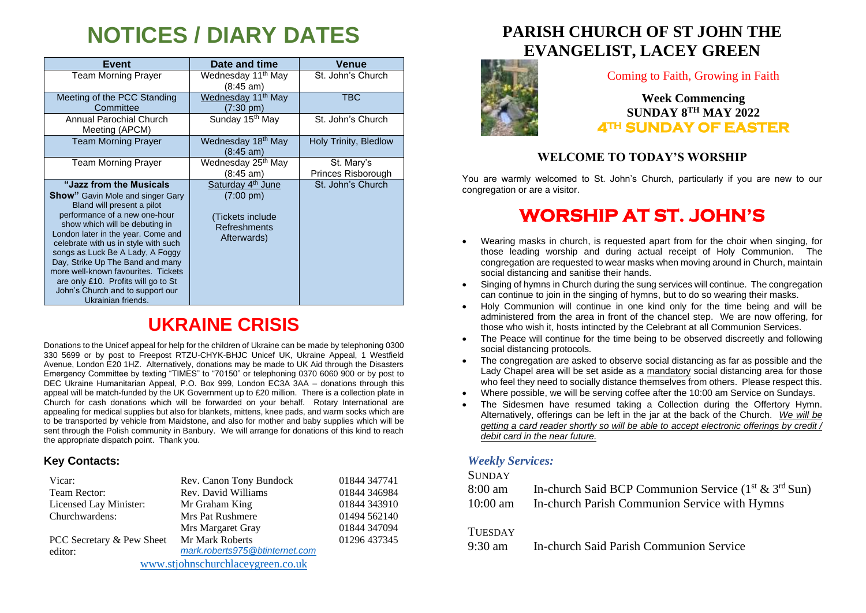# **NOTICES / DIARY DATES**

| Event                                                                                                                                                                                                                                                                                                                                                                                                                                                               | Date and time                                                                                                  | Venue                            |
|---------------------------------------------------------------------------------------------------------------------------------------------------------------------------------------------------------------------------------------------------------------------------------------------------------------------------------------------------------------------------------------------------------------------------------------------------------------------|----------------------------------------------------------------------------------------------------------------|----------------------------------|
| <b>Team Morning Prayer</b>                                                                                                                                                                                                                                                                                                                                                                                                                                          | Wednesday 11 <sup>th</sup> May<br>(8:45 am)                                                                    | St. John's Church                |
| Meeting of the PCC Standing<br>Committee                                                                                                                                                                                                                                                                                                                                                                                                                            | Wednesday 11 <sup>th</sup> May<br>$(7:30 \text{ pm})$                                                          | TBC                              |
| Annual Parochial Church<br>Meeting (APCM)                                                                                                                                                                                                                                                                                                                                                                                                                           | Sunday 15th May                                                                                                | St. John's Church                |
| <b>Team Morning Prayer</b>                                                                                                                                                                                                                                                                                                                                                                                                                                          | Wednesday 18 <sup>th</sup> May<br>(8:45 am)                                                                    | Holy Trinity, Bledlow            |
| <b>Team Morning Prayer</b>                                                                                                                                                                                                                                                                                                                                                                                                                                          | Wednesday 25 <sup>th</sup> May<br>(8:45 am)                                                                    | St. Mary's<br>Princes Risborough |
| "Jazz from the Musicals"<br><b>Show</b> " Gavin Mole and singer Gary<br>Bland will present a pilot<br>performance of a new one-hour<br>show which will be debuting in<br>London later in the year. Come and<br>celebrate with us in style with such<br>songs as Luck Be A Lady, A Foggy<br>Day, Strike Up The Band and many<br>more well-known favourites. Tickets<br>are only £10. Profits will go to St<br>John's Church and to support our<br>Ukrainian friends. | Saturday 4 <sup>th</sup> June<br>$(7:00 \text{ pm})$<br>(Tickets include<br><b>Refreshments</b><br>Afterwards) | St. John's Church                |

## **UKRAINE CRISIS**

Donations to the Unicef appeal for help for the children of Ukraine can be made by telephoning 0300 330 5699 or by post to Freepost RTZU-CHYK-BHJC Unicef UK, Ukraine Appeal, 1 Westfield Avenue, London E20 1HZ. Alternatively, donations may be made to UK Aid through the Disasters Emergency Committee by texting "TIMES" to "70150" or telephoning 0370 6060 900 or by post to DEC Ukraine Humanitarian Appeal, P.O. Box 999, London EC3A 3AA – donations through this appeal will be match-funded by the UK Government up to £20 million. There is a collection plate in Church for cash donations which will be forwarded on your behalf. Rotary International are appealing for medical supplies but also for blankets, mittens, knee pads, and warm socks which are to be transported by vehicle from Maidstone, and also for mother and baby supplies which will be sent through the Polish community in Banbury. We will arrange for donations of this kind to reach the appropriate dispatch point. Thank you.

#### **Key Contacts:**

| Vicar:                            | Rev. Canon Tony Bundock        | 01844 347741 |  |
|-----------------------------------|--------------------------------|--------------|--|
| Team Rector:                      | Rev. David Williams            | 01844 346984 |  |
| Licensed Lay Minister:            | Mr Graham King                 | 01844 343910 |  |
| Churchwardens:                    | Mrs Pat Rushmere               | 01494 562140 |  |
|                                   | Mrs Margaret Gray              | 01844 347094 |  |
| PCC Secretary & Pew Sheet         | Mr Mark Roberts                | 01296 437345 |  |
| editor:                           | mark.roberts975@btinternet.com |              |  |
| www.stjohnschurchlaceygreen.co.uk |                                |              |  |

### **PARISH CHURCH OF ST JOHN THE EVANGELIST, LACEY GREEN**



#### Coming to Faith, Growing in Faith

**Week Commencing SUNDAY 8 TH MAY 2022 4TH SUNDAY OF EASTER** 

### **WELCOME TO TODAY'S WORSHIP**

You are warmly welcomed to St. John's Church, particularly if you are new to our congregation or are a visitor.

## **WORSHIP AT ST. JOHN'S**

- Wearing masks in church, is requested apart from for the choir when singing, for those leading worship and during actual receipt of Holy Communion. The congregation are requested to wear masks when moving around in Church, maintain social distancing and sanitise their hands.
- Singing of hymns in Church during the sung services will continue. The congregation can continue to join in the singing of hymns, but to do so wearing their masks.
- Holy Communion will continue in one kind only for the time being and will be administered from the area in front of the chancel step. We are now offering, for those who wish it, hosts intincted by the Celebrant at all Communion Services.
- The Peace will continue for the time being to be observed discreetly and following social distancing protocols.
- The congregation are asked to observe social distancing as far as possible and the Lady Chapel area will be set aside as a mandatory social distancing area for those who feel they need to socially distance themselves from others. Please respect this.
- Where possible, we will be serving coffee after the 10:00 am Service on Sundays.
- The Sidesmen have resumed taking a Collection during the Offertory Hymn. Alternatively, offerings can be left in the jar at the back of the Church. *We will be getting a card reader shortly so will be able to accept electronic offerings by credit / debit card in the near future.*

#### *Weekly Services:*

#### **SUNDAY**

| 8:00 am    | In-church Said BCP Communion Service $(1st & 3rd Sun)$ |
|------------|--------------------------------------------------------|
| $10:00$ am | In-church Parish Communion Service with Hymns          |

#### **TUESDAY**

9:30 am In-church Said Parish Communion Service